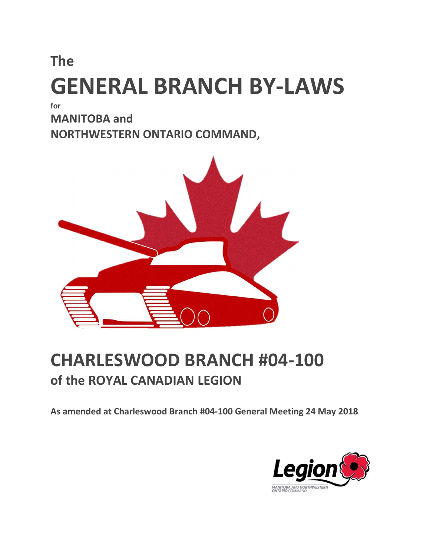# The GENERAL BRANCH BY-LAWS

for

MANITOBA and NORTHWESTERN ONTARIO COMMAND,



## CHARLESWOOD BRANCH #04-100 of the ROYAL CANADIAN LEGION

As amended at Charleswood Branch #04-100 General Meeting 24 May 2018

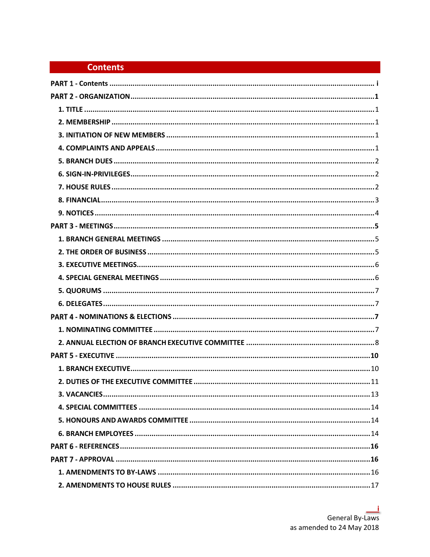### **Contents**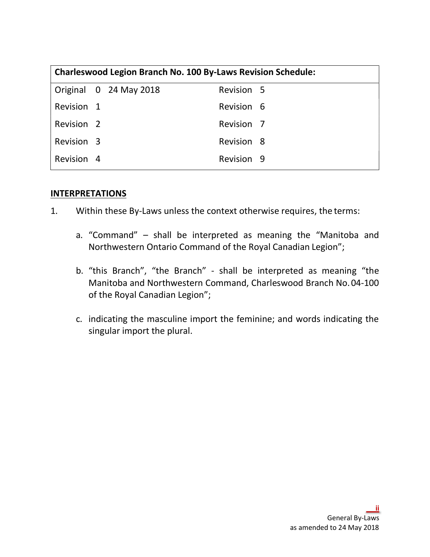| <b>Charleswood Legion Branch No. 100 By-Laws Revision Schedule:</b> |  |                        |                       |  |  |
|---------------------------------------------------------------------|--|------------------------|-----------------------|--|--|
|                                                                     |  | Original 0 24 May 2018 | Revision 5            |  |  |
| Revision 1                                                          |  |                        | Revision 6            |  |  |
| Revision <sub>2</sub>                                               |  |                        | Revision <sub>7</sub> |  |  |
| Revision 3                                                          |  |                        | Revision 8            |  |  |
| Revision 4                                                          |  |                        | Revision 9            |  |  |

### **INTERPRETATIONS**

- 1. Within these By-Laws unless the context otherwise requires, the terms:
	- a. "Command" shall be interpreted as meaning the "Manitoba and Northwestern Ontario Command of the Royal Canadian Legion";
	- b. "this Branch", "the Branch" shall be interpreted as meaning "the Manitoba and Northwestern Command, Charleswood Branch No. 04-100 of the Royal Canadian Legion";
	- c. indicating the masculine import the feminine; and words indicating the singular import the plural.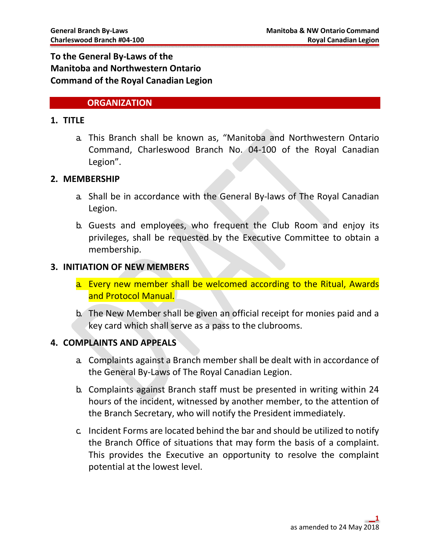### To the General By-Laws of the Manitoba and Northwestern Ontario Command of the Royal Canadian Legion

### **ORGANIZATION**

### 1. TITLE

a. This Branch shall be known as, "Manitoba and Northwestern Ontario Command, Charleswood Branch No. 04-100 of the Royal Canadian Legion".

### 2. MEMBERSHIP

- a. Shall be in accordance with the General By-laws of The Royal Canadian Legion.
- b. Guests and employees, who frequent the Club Room and enjoy its privileges, shall be requested by the Executive Committee to obtain a membership.

### 3. INITIATION OF NEW MEMBERS

- a. Every new member shall be welcomed according to the Ritual, Awards and Protocol Manual.
- b. The New Member shall be given an official receipt for monies paid and a key card which shall serve as a pass to the clubrooms.

### 4. COMPLAINTS AND APPEALS

- a. Complaints against a Branch member shall be dealt with in accordance of the General By-Laws of The Royal Canadian Legion.
- b. Complaints against Branch staff must be presented in writing within 24 hours of the incident, witnessed by another member, to the attention of the Branch Secretary, who will notify the President immediately.
- c. Incident Forms are located behind the bar and should be utilized to notify the Branch Office of situations that may form the basis of a complaint. This provides the Executive an opportunity to resolve the complaint potential at the lowest level.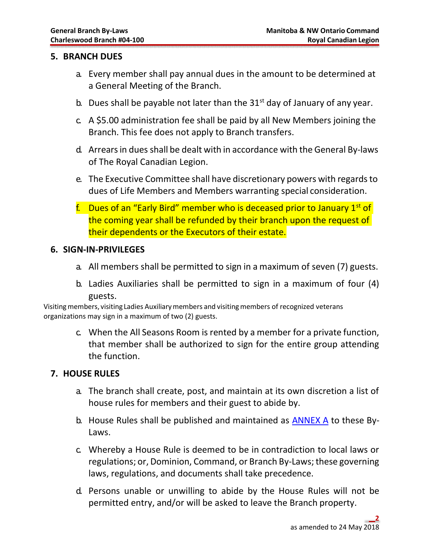### 5. BRANCH DUES

- a. Every member shall pay annual dues in the amount to be determined at a General Meeting of the Branch.
- b. Dues shall be payable not later than the  $31<sup>st</sup>$  day of January of any year.
- c. A \$5.00 administration fee shall be paid by all New Members joining the Branch. This fee does not apply to Branch transfers.
- d. Arrears in dues shall be dealt with in accordance with the General By-laws of The Royal Canadian Legion.
- e. The Executive Committee shall have discretionary powers with regards to dues of Life Members and Members warranting special consideration.
- f. Dues of an "Early Bird" member who is deceased prior to January  $1<sup>st</sup>$  of the coming year shall be refunded by their branch upon the request of their dependents or the Executors of their estate.

### 6. SIGN-IN-PRIVILEGES

- a. All members shall be permitted to sign in a maximum of seven (7) guests.
- b. Ladies Auxiliaries shall be permitted to sign in a maximum of four (4) guests.

Visiting members, visiting Ladies Auxiliary members and visiting members of recognized veterans organizations may sign in a maximum of two (2) guests.

> c. When the All Seasons Room is rented by a member for a private function, that member shall be authorized to sign for the entire group attending the function.

### 7. HOUSE RULES

- a. The branch shall create, post, and maintain at its own discretion a list of house rules for members and their guest to abide by.
- b. House Rules shall be published and maintained as  $\overline{\text{ANNEX A}}$  to these By-Laws.
- c. Whereby a House Rule is deemed to be in contradiction to local laws or regulations; or, Dominion, Command, or Branch By-Laws; these governing laws, regulations, and documents shall take precedence.
- d. Persons unable or unwilling to abide by the House Rules will not be permitted entry, and/or will be asked to leave the Branch property.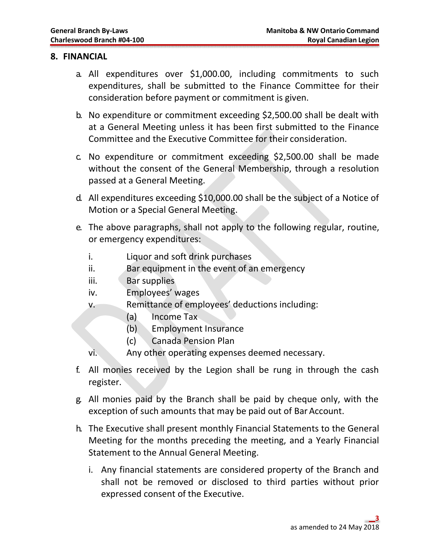### 8. FINANCIAL

- a. All expenditures over \$1,000.00, including commitments to such expenditures, shall be submitted to the Finance Committee for their consideration before payment or commitment is given.
- b. No expenditure or commitment exceeding \$2,500.00 shall be dealt with at a General Meeting unless it has been first submitted to the Finance Committee and the Executive Committee for their consideration.
- c. No expenditure or commitment exceeding \$2,500.00 shall be made without the consent of the General Membership, through a resolution passed at a General Meeting.
- d. All expenditures exceeding \$10,000.00 shall be the subject of a Notice of Motion or a Special General Meeting.
- e. The above paragraphs, shall not apply to the following regular, routine, or emergency expenditures:
	- i. Liquor and soft drink purchases
	- ii. Bar equipment in the event of an emergency
	- iii. Bar supplies
	- iv. Employees' wages
	- v. Remittance of employees' deductions including:
		- (a) Income Tax
		- (b) Employment Insurance
		- (c) Canada Pension Plan
	- vi. Any other operating expenses deemed necessary.
- f. All monies received by the Legion shall be rung in through the cash register.
- g. All monies paid by the Branch shall be paid by cheque only, with the exception of such amounts that may be paid out of Bar Account.
- h. The Executive shall present monthly Financial Statements to the General Meeting for the months preceding the meeting, and a Yearly Financial Statement to the Annual General Meeting.
	- i. Any financial statements are considered property of the Branch and shall not be removed or disclosed to third parties without prior expressed consent of the Executive.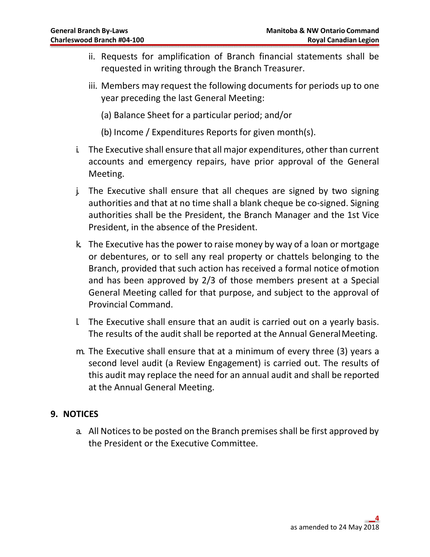- ii. Requests for amplification of Branch financial statements shall be requested in writing through the Branch Treasurer.
- iii. Members may request the following documents for periods up to one year preceding the last General Meeting:

(a) Balance Sheet for a particular period; and/or

(b) Income / Expenditures Reports for given month(s).

- i. The Executive shall ensure that all major expenditures, other than current accounts and emergency repairs, have prior approval of the General Meeting.
- j. The Executive shall ensure that all cheques are signed by two signing authorities and that at no time shall a blank cheque be co-signed. Signing authorities shall be the President, the Branch Manager and the 1st Vice President, in the absence of the President.
- k. The Executive has the power to raise money by way of a loan or mortgage or debentures, or to sell any real property or chattels belonging to the Branch, provided that such action has received a formal notice of motion and has been approved by 2/3 of those members present at a Special General Meeting called for that purpose, and subject to the approval of Provincial Command.
- l. The Executive shall ensure that an audit is carried out on a yearly basis. The results of the audit shall be reported at the Annual General Meeting.
- m. The Executive shall ensure that at a minimum of every three (3) years a second level audit (a Review Engagement) is carried out. The results of this audit may replace the need for an annual audit and shall be reported at the Annual General Meeting.

### 9. NOTICES

a. All Notices to be posted on the Branch premises shall be first approved by the President or the Executive Committee.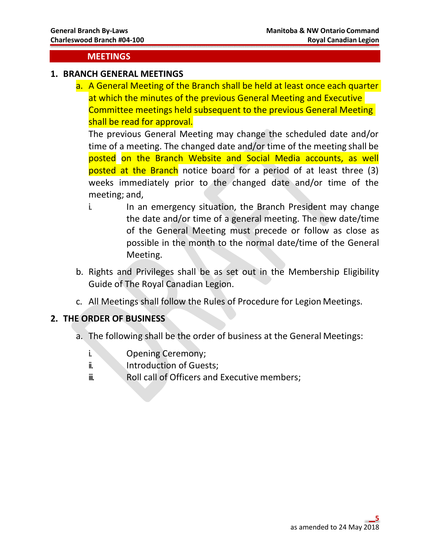### MEETINGS

### 1. BRANCH GENERAL MEETINGS

a. A General Meeting of the Branch shall be held at least once each quarter at which the minutes of the previous General Meeting and Executive Committee meetings held subsequent to the previous General Meeting shall be read for approval.

The previous General Meeting may change the scheduled date and/or time of a meeting. The changed date and/or time of the meeting shall be posted on the Branch Website and Social Media accounts, as well posted at the Branch notice board for a period of at least three (3) weeks immediately prior to the changed date and/or time of the meeting; and,

- i. In an emergency situation, the Branch President may change the date and/or time of a general meeting. The new date/time of the General Meeting must precede or follow as close as possible in the month to the normal date/time of the General Meeting.
- b. Rights and Privileges shall be as set out in the Membership Eligibility Guide of The Royal Canadian Legion.
- c. All Meetings shall follow the Rules of Procedure for Legion Meetings.

### 2. THE ORDER OF BUSINESS

- a. The following shall be the order of business at the General Meetings:
	- i. Opening Ceremony;
	- ii. **Introduction of Guests**;
	- ii. Roll call of Officers and Executive members;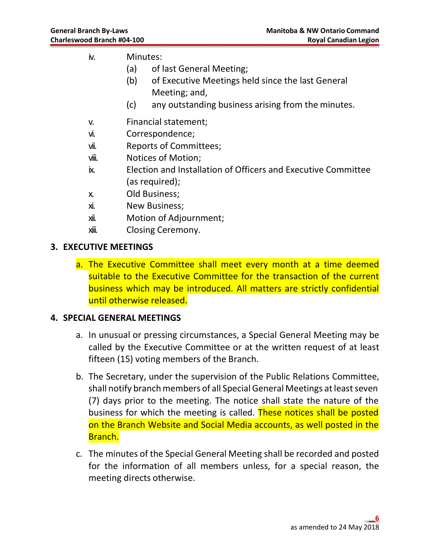- iv. Minutes:
	- (a) of last General Meeting;
	- (b) of Executive Meetings held since the last General Meeting; and,
	- (c) any outstanding business arising from the minutes.
- v. Financial statement;
- vi. Correspondence;
- vii. Reports of Committees;
- viii. Notices of Motion;
- ix. Election and Installation of Officers and Executive Committee (as required);
- x. Old Business;
- xi. New Business;
- xii. Motion of Adjournment;
- xiii. Closing Ceremony.

### 3. EXECUTIVE MEETINGS

a. The Executive Committee shall meet every month at a time deemed suitable to the Executive Committee for the transaction of the current business which may be introduced. All matters are strictly confidential until otherwise released.

### 4. SPECIAL GENERAL MEETINGS

- a. In unusual or pressing circumstances, a Special General Meeting may be called by the Executive Committee or at the written request of at least fifteen (15) voting members of the Branch.
- b. The Secretary, under the supervision of the Public Relations Committee, shall notify branch members of all Special General Meetings at least seven (7) days prior to the meeting. The notice shall state the nature of the business for which the meeting is called. These notices shall be posted on the Branch Website and Social Media accounts, as well posted in the Branch.
- c. The minutes of the Special General Meeting shall be recorded and posted for the information of all members unless, for a special reason, the meeting directs otherwise.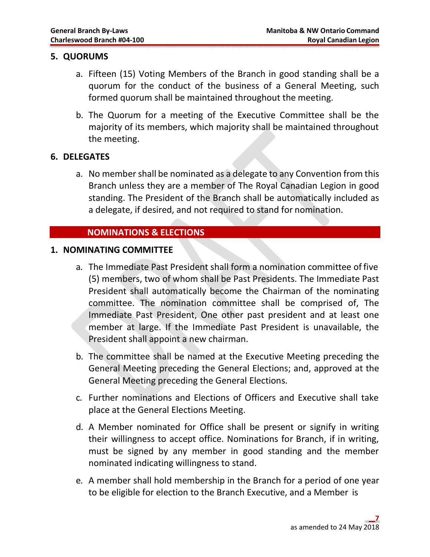### 5. QUORUMS

- a. Fifteen (15) Voting Members of the Branch in good standing shall be a quorum for the conduct of the business of a General Meeting, such formed quorum shall be maintained throughout the meeting.
- b. The Quorum for a meeting of the Executive Committee shall be the majority of its members, which majority shall be maintained throughout the meeting.

### 6. DELEGATES

a. No member shall be nominated as a delegate to any Convention from this Branch unless they are a member of The Royal Canadian Legion in good standing. The President of the Branch shall be automatically included as a delegate, if desired, and not required to stand for nomination.

### NOMINATIONS & ELECTIONS

### 1. NOMINATING COMMITTEE

- a. The Immediate Past President shall form a nomination committee of five (5) members, two of whom shall be Past Presidents. The Immediate Past President shall automatically become the Chairman of the nominating committee. The nomination committee shall be comprised of, The Immediate Past President, One other past president and at least one member at large. If the Immediate Past President is unavailable, the President shall appoint a new chairman.
- b. The committee shall be named at the Executive Meeting preceding the General Meeting preceding the General Elections; and, approved at the General Meeting preceding the General Elections.
- c. Further nominations and Elections of Officers and Executive shall take place at the General Elections Meeting.
- d. A Member nominated for Office shall be present or signify in writing their willingness to accept office. Nominations for Branch, if in writing, must be signed by any member in good standing and the member nominated indicating willingness to stand.
- e. A member shall hold membership in the Branch for a period of one year to be eligible for election to the Branch Executive, and a Member is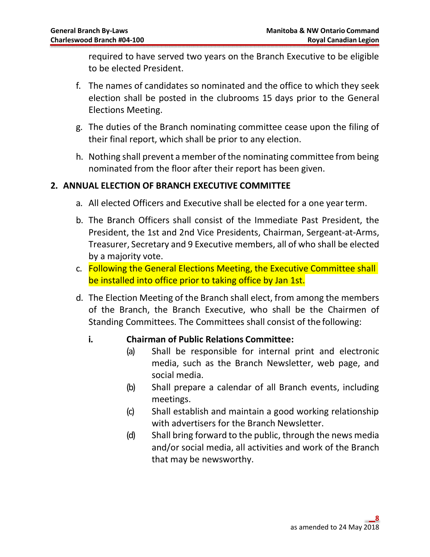required to have served two years on the Branch Executive to be eligible to be elected President.

- f. The names of candidates so nominated and the office to which they seek election shall be posted in the clubrooms 15 days prior to the General Elections Meeting.
- g. The duties of the Branch nominating committee cease upon the filing of their final report, which shall be prior to any election.
- h. Nothing shall prevent a member of the nominating committee from being nominated from the floor after their report has been given.

### 2. ANNUAL ELECTION OF BRANCH EXECUTIVE COMMITTEE

- a. All elected Officers and Executive shall be elected for a one year term.
- b. The Branch Officers shall consist of the Immediate Past President, the President, the 1st and 2nd Vice Presidents, Chairman, Sergeant-at-Arms, Treasurer, Secretary and 9 Executive members, all of who shall be elected by a majority vote.
- c. Following the General Elections Meeting, the Executive Committee shall be installed into office prior to taking office by Jan 1st.
- d. The Election Meeting of the Branch shall elect, from among the members of the Branch, the Branch Executive, who shall be the Chairmen of Standing Committees. The Committees shall consist of the following:

### i. Chairman of Public Relations Committee:

- (a) Shall be responsible for internal print and electronic media, such as the Branch Newsletter, web page, and social media.
- (b) Shall prepare a calendar of all Branch events, including meetings.
- (c) Shall establish and maintain a good working relationship with advertisers for the Branch Newsletter.
- (d) Shall bring forward to the public, through the news media and/or social media, all activities and work of the Branch that may be newsworthy.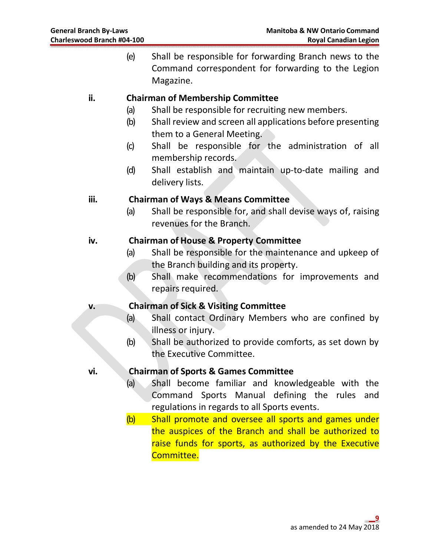(e) Shall be responsible for forwarding Branch news to the Command correspondent for forwarding to the Legion Magazine.

### ii. Chairman of Membership Committee

- (a) Shall be responsible for recruiting new members.
- (b) Shall review and screen all applications before presenting them to a General Meeting.
- (c) Shall be responsible for the administration of all membership records.
- (d) Shall establish and maintain up-to-date mailing and delivery lists.

### iii. Chairman of Ways & Means Committee

(a) Shall be responsible for, and shall devise ways of, raising revenues for the Branch.

### iv. Chairman of House & Property Committee

- (a) Shall be responsible for the maintenance and upkeep of the Branch building and its property.
- (b) Shall make recommendations for improvements and repairs required.

### v. Chairman of Sick & Visiting Committee

- (a) Shall contact Ordinary Members who are confined by illness or injury.
- (b) Shall be authorized to provide comforts, as set down by the Executive Committee.

### vi. Chairman of Sports & Games Committee

- (a) Shall become familiar and knowledgeable with the Command Sports Manual defining the rules and regulations in regards to all Sports events.
- (b) Shall promote and oversee all sports and games under the auspices of the Branch and shall be authorized to raise funds for sports, as authorized by the Executive Committee.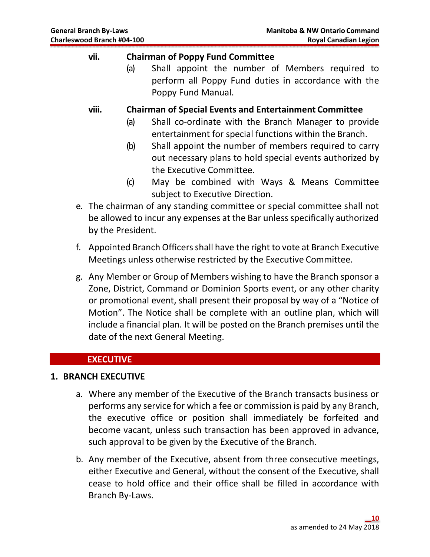### vii. Chairman of Poppy Fund Committee

(a) Shall appoint the number of Members required to perform all Poppy Fund duties in accordance with the Poppy Fund Manual.

viii. Chairman of Special Events and Entertainment Committee

- (a) Shall co-ordinate with the Branch Manager to provide entertainment for special functions within the Branch.
- (b) Shall appoint the number of members required to carry out necessary plans to hold special events authorized by the Executive Committee.
- (c) May be combined with Ways & Means Committee subject to Executive Direction.
- e. The chairman of any standing committee or special committee shall not be allowed to incur any expenses at the Bar unless specifically authorized by the President.
- f. Appointed Branch Officers shall have the right to vote at Branch Executive Meetings unless otherwise restricted by the Executive Committee.
- g. Any Member or Group of Members wishing to have the Branch sponsor a Zone, District, Command or Dominion Sports event, or any other charity or promotional event, shall present their proposal by way of a "Notice of Motion". The Notice shall be complete with an outline plan, which will include a financial plan. It will be posted on the Branch premises until the date of the next General Meeting.

### **EXECUTIVE**

### 1. BRANCH EXECUTIVE

- a. Where any member of the Executive of the Branch transacts business or performs any service for which a fee or commission is paid by any Branch, the executive office or position shall immediately be forfeited and become vacant, unless such transaction has been approved in advance, such approval to be given by the Executive of the Branch.
- b. Any member of the Executive, absent from three consecutive meetings, either Executive and General, without the consent of the Executive, shall cease to hold office and their office shall be filled in accordance with Branch By-Laws.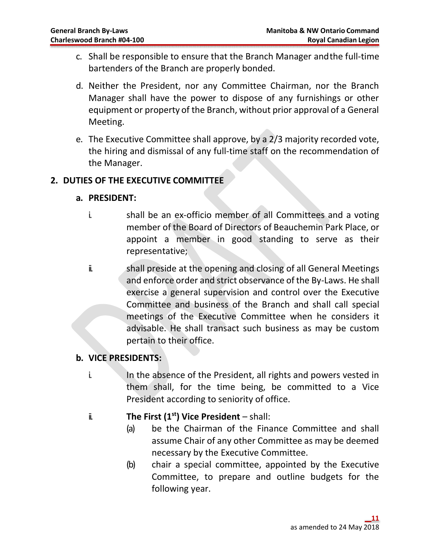- c. Shall be responsible to ensure that the Branch Manager and the full-time bartenders of the Branch are properly bonded.
- d. Neither the President, nor any Committee Chairman, nor the Branch Manager shall have the power to dispose of any furnishings or other equipment or property of the Branch, without prior approval of a General Meeting.
- e. The Executive Committee shall approve, by a 2/3 majority recorded vote, the hiring and dismissal of any full-time staff on the recommendation of the Manager.

### 2. DUTIES OF THE EXECUTIVE COMMITTEE

### a. PRESIDENT:

- i. shall be an ex-officio member of all Committees and a voting member of the Board of Directors of Beauchemin Park Place, or appoint a member in good standing to serve as their representative;
- ii. shall preside at the opening and closing of all General Meetings and enforce order and strict observance of the By-Laws. He shall exercise a general supervision and control over the Executive Committee and business of the Branch and shall call special meetings of the Executive Committee when he considers it advisable. He shall transact such business as may be custom pertain to their office.

### b. VICE PRESIDENTS:

- i. In the absence of the President, all rights and powers vested in them shall, for the time being, be committed to a Vice President according to seniority of office.
- ii. The First  $(1<sup>st</sup>)$  Vice President shall:
	- (a) be the Chairman of the Finance Committee and shall assume Chair of any other Committee as may be deemed necessary by the Executive Committee.
	- (b) chair a special committee, appointed by the Executive Committee, to prepare and outline budgets for the following year.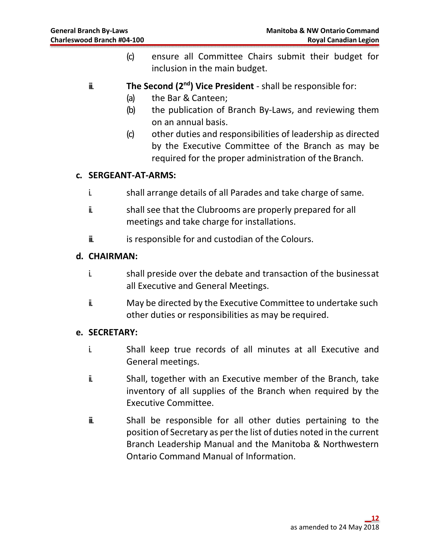- (c) ensure all Committee Chairs submit their budget for inclusion in the main budget.
- $\ddot{\mathbf{u}}$  The Second (2<sup>nd</sup>) Vice President shall be responsible for:
	- (a) the Bar & Canteen;
	- (b) the publication of Branch By-Laws, and reviewing them on an annual basis.
	- (c) other duties and responsibilities of leadership as directed by the Executive Committee of the Branch as may be required for the proper administration of the Branch.

### c. SERGEANT-AT-ARMS:

- i. shall arrange details of all Parades and take charge of same.
- ii. shall see that the Clubrooms are properly prepared for all meetings and take charge for installations.
- $\ddot{\mathbf{u}}$  is responsible for and custodian of the Colours.

### d. CHAIRMAN:

- i. shall preside over the debate and transaction of the business at all Executive and General Meetings.
- ii. May be directed by the Executive Committee to undertake such other duties or responsibilities as may be required.

### e. SECRETARY:

- i. Shall keep true records of all minutes at all Executive and General meetings.
- ii. Shall, together with an Executive member of the Branch, take inventory of all supplies of the Branch when required by the Executive Committee.
- $\ddot{u}$  Shall be responsible for all other duties pertaining to the position of Secretary as per the list of duties noted in the current Branch Leadership Manual and the Manitoba & Northwestern Ontario Command Manual of Information.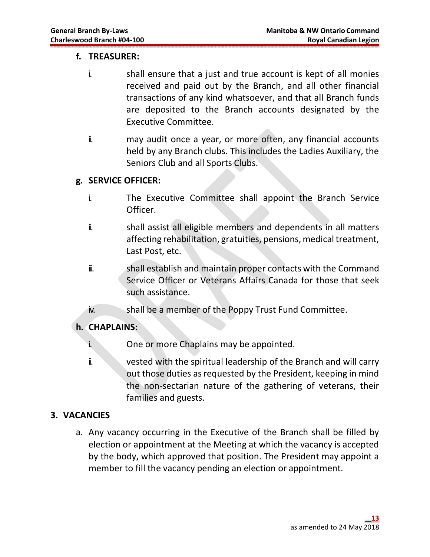### f. TREASURER:

- i. shall ensure that a just and true account is kept of all monies received and paid out by the Branch, and all other financial transactions of any kind whatsoever, and that all Branch funds are deposited to the Branch accounts designated by the Executive Committee.
- ii. may audit once a year, or more often, any financial accounts held by any Branch clubs. This includes the Ladies Auxiliary, the Seniors Club and all Sports Clubs.

### g. SERVICE OFFICER:

- i. The Executive Committee shall appoint the Branch Service Officer.
- ii. shall assist all eligible members and dependents in all matters affecting rehabilitation, gratuities, pensions, medical treatment, Last Post, etc.
- $\ddot{\mathbf{u}}$  shall establish and maintain proper contacts with the Command Service Officer or Veterans Affairs Canada for those that seek such assistance.
- iv. Shall be a member of the Poppy Trust Fund Committee.

### h. CHAPLAINS:

- i. One or more Chaplains may be appointed.
- ii. vested with the spiritual leadership of the Branch and will carry out those duties as requested by the President, keeping in mind the non-sectarian nature of the gathering of veterans, their families and guests.

### 3. VACANCIES

a. Any vacancy occurring in the Executive of the Branch shall be filled by election or appointment at the Meeting at which the vacancy is accepted by the body, which approved that position. The President may appoint a member to fill the vacancy pending an election or appointment.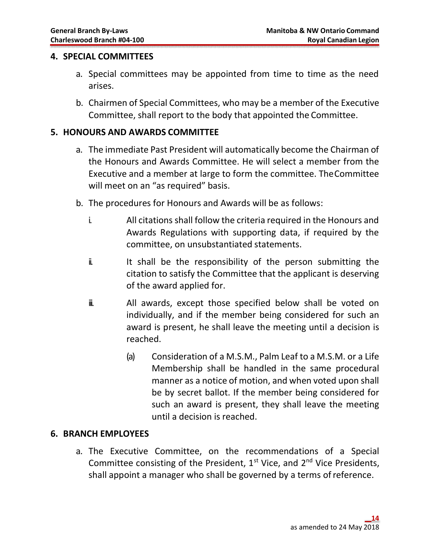### 4. SPECIAL COMMITTEES

- a. Special committees may be appointed from time to time as the need arises.
- b. Chairmen of Special Committees, who may be a member of the Executive Committee, shall report to the body that appointed the Committee.

### 5. HONOURS AND AWARDS COMMITTEE

- a. The immediate Past President will automatically become the Chairman of the Honours and Awards Committee. He will select a member from the Executive and a member at large to form the committee. The Committee will meet on an "as required" basis.
- b. The procedures for Honours and Awards will be as follows:
	- i. All citations shall follow the criteria required in the Honours and Awards Regulations with supporting data, if required by the committee, on unsubstantiated statements.
	- i. It shall be the responsibility of the person submitting the citation to satisfy the Committee that the applicant is deserving of the award applied for.
	- $\ddot{=}$  all awards, except those specified below shall be voted on individually, and if the member being considered for such an award is present, he shall leave the meeting until a decision is reached.
		- (a) Consideration of a M.S.M., Palm Leaf to a M.S.M. or a Life Membership shall be handled in the same procedural manner as a notice of motion, and when voted upon shall be by secret ballot. If the member being considered for such an award is present, they shall leave the meeting until a decision is reached.

### 6. BRANCH EMPLOYEES

a. The Executive Committee, on the recommendations of a Special Committee consisting of the President,  $1^{st}$  Vice, and  $2^{nd}$  Vice Presidents, shall appoint a manager who shall be governed by a terms of reference.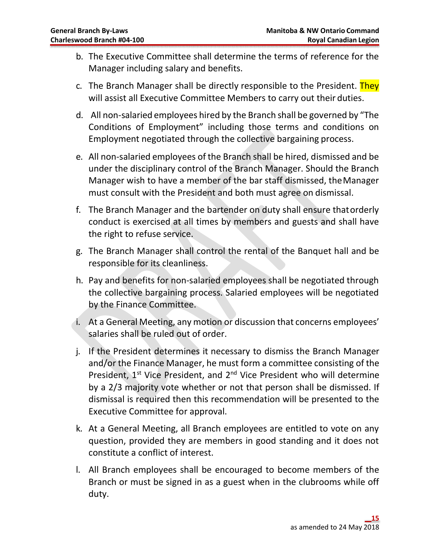- b. The Executive Committee shall determine the terms of reference for the Manager including salary and benefits.
- c. The Branch Manager shall be directly responsible to the President. They will assist all Executive Committee Members to carry out their duties.
- d. All non-salaried employees hired by the Branch shall be governed by "The Conditions of Employment" including those terms and conditions on Employment negotiated through the collective bargaining process.
- e. All non-salaried employees of the Branch shall be hired, dismissed and be under the disciplinary control of the Branch Manager. Should the Branch Manager wish to have a member of the bar staff dismissed, the Manager must consult with the President and both must agree on dismissal.
- f. The Branch Manager and the bartender on duty shall ensure that orderly conduct is exercised at all times by members and guests and shall have the right to refuse service.
- g. The Branch Manager shall control the rental of the Banquet hall and be responsible for its cleanliness.
- h. Pay and benefits for non-salaried employees shall be negotiated through the collective bargaining process. Salaried employees will be negotiated by the Finance Committee.
- i. At a General Meeting, any motion or discussion that concerns employees' salaries shall be ruled out of order.
- j. If the President determines it necessary to dismiss the Branch Manager and/or the Finance Manager, he must form a committee consisting of the President,  $1^{st}$  Vice President, and  $2^{nd}$  Vice President who will determine by a 2/3 majority vote whether or not that person shall be dismissed. If dismissal is required then this recommendation will be presented to the Executive Committee for approval.
- k. At a General Meeting, all Branch employees are entitled to vote on any question, provided they are members in good standing and it does not constitute a conflict of interest.
- l. All Branch employees shall be encouraged to become members of the Branch or must be signed in as a guest when in the clubrooms while off duty.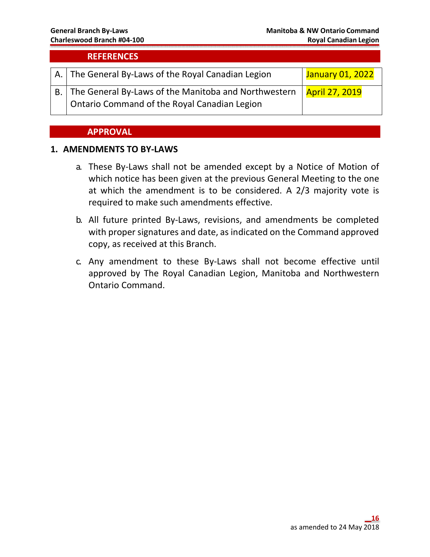### **REFERENCES**

| A. The General By-Laws of the Royal Canadian Legion                                                                             | January 01, 2022 |
|---------------------------------------------------------------------------------------------------------------------------------|------------------|
| $\boxed{B.}$ The General By-Laws of the Manitoba and Northwestern $\frac{1}{1}$<br>Ontario Command of the Royal Canadian Legion | April 27, 2019   |

### APPROVAL

### 1. AMENDMENTS TO BY-LAWS

- a. These By-Laws shall not be amended except by a Notice of Motion of which notice has been given at the previous General Meeting to the one at which the amendment is to be considered. A 2/3 majority vote is required to make such amendments effective.
- b. All future printed By-Laws, revisions, and amendments be completed with proper signatures and date, as indicated on the Command approved copy, as received at this Branch.
- c. Any amendment to these By-Laws shall not become effective until approved by The Royal Canadian Legion, Manitoba and Northwestern Ontario Command.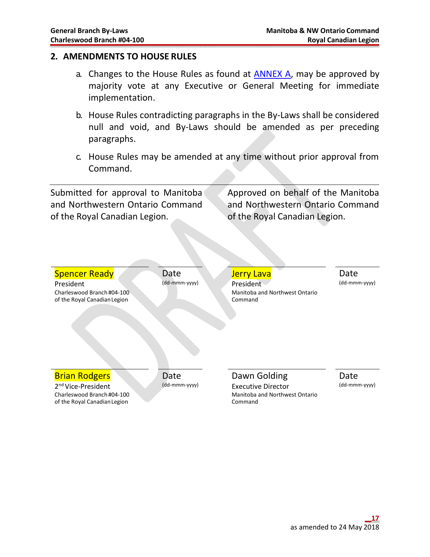### 2. AMENDMENTS TO HOUSE RULES

- a. Changes to the House Rules as found at ANNEX A, may be approved by majority vote at any Executive or General Meeting for immediate implementation.
- b. House Rules contradicting paragraphs in the By-Laws shall be considered null and void, and By-Laws should be amended as per preceding paragraphs.
- c. House Rules may be amended at any time without prior approval from Command.

Submitted for approval to Manitoba and Northwestern Ontario Command of the Royal Canadian Legion.

Approved on behalf of the Manitoba and Northwestern Ontario Command of the Royal Canadian Legion.

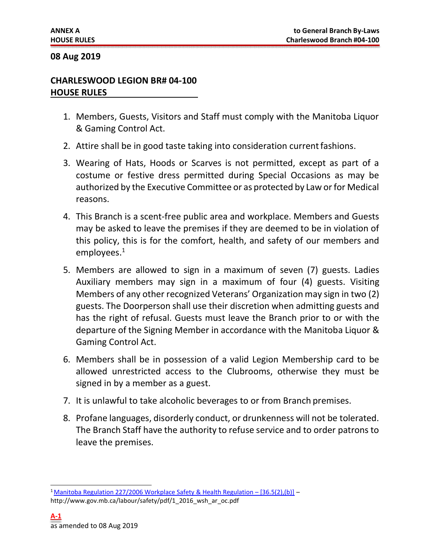### 08 Aug 2019

### CHARLESWOOD LEGION BR# 04-100 HOUSE RULES

- 1. Members, Guests, Visitors and Staff must comply with the Manitoba Liquor & Gaming Control Act.
- 2. Attire shall be in good taste taking into consideration current fashions.
- 3. Wearing of Hats, Hoods or Scarves is not permitted, except as part of a costume or festive dress permitted during Special Occasions as may be authorized by the Executive Committee or as protected by Law or for Medical reasons.
- 4. This Branch is a scent-free public area and workplace. Members and Guests may be asked to leave the premises if they are deemed to be in violation of this policy, this is for the comfort, health, and safety of our members and employees.<sup>1</sup>
- 5. Members are allowed to sign in a maximum of seven (7) guests. Ladies Auxiliary members may sign in a maximum of four (4) guests. Visiting Members of any other recognized Veterans' Organization may sign in two (2) guests. The Doorperson shall use their discretion when admitting guests and has the right of refusal. Guests must leave the Branch prior to or with the departure of the Signing Member in accordance with the Manitoba Liquor & Gaming Control Act.
- 6. Members shall be in possession of a valid Legion Membership card to be allowed unrestricted access to the Clubrooms, otherwise they must be signed in by a member as a guest.
- 7. It is unlawful to take alcoholic beverages to or from Branch premises.
- 8. Profane languages, disorderly conduct, or drunkenness will not be tolerated. The Branch Staff have the authority to refuse service and to order patrons to leave the premises.

<sup>&</sup>lt;sup>1</sup> Manitoba Regulation 227/2006 Workplace Safety & Health Regulation –  $[36.5(2)$ , (b)] –

http://www.gov.mb.ca/labour/safety/pdf/1\_2016\_wsh\_ar\_oc.pdf